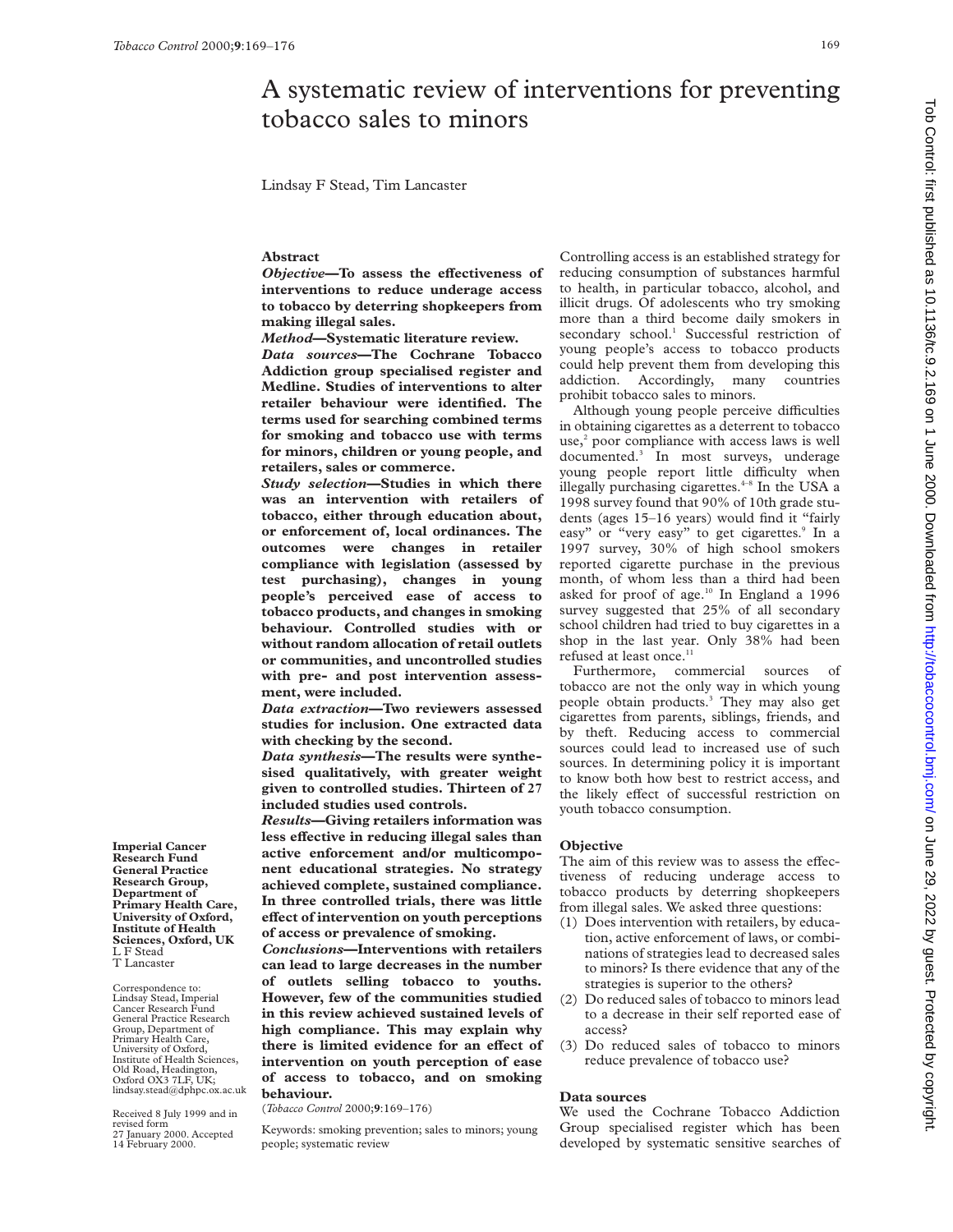# A systematic review of interventions for preventing tobacco sales to minors

Lindsay F Stead, Tim Lancaster

## **Abstract**

*Objective*—To assess the effectiveness of **interventions to reduce underage access to tobacco by deterring shopkeepers from making illegal sales.**

*Method***—Systematic literature review.**

*Data sources***—The Cochrane Tobacco Addiction group specialised register and Medline. Studies of interventions to alter retailer behaviour were identified. The terms used for searching combined terms for smoking and tobacco use with terms for minors, children or young people, and retailers, sales or commerce.**

*Study selection***—Studies in which there was an intervention with retailers of tobacco, either through education about, or enforcement of, local ordinances. The outcomes were changes in retailer compliance with legislation (assessed by test purchasing), changes in young people's perceived ease of access to tobacco products, and changes in smoking behaviour. Controlled studies with or without random allocation of retail outlets or communities, and uncontrolled studies with pre- and post intervention assessment, were included.**

*Data extraction***—Two reviewers assessed studies for inclusion. One extracted data with checking by the second.**

*Data synthesis***—The results were synthesised qualitatively, with greater weight given to controlled studies. Thirteen of 27 included studies used controls.**

*Results***—Giving retailers information was** less effective in reducing illegal sales than **active enforcement and/or multicomponent educational strategies. No strategy achieved complete, sustained compliance. In three controlled trials, there was little eVect of intervention on youth perceptions of access or prevalence of smoking.**

*Conclusions***—Interventions with retailers can lead to large decreases in the number of outlets selling tobacco to youths. However, few of the communities studied in this review achieved sustained levels of high compliance. This may explain why** there is limited evidence for an effect of **intervention on youth perception of ease of access to tobacco, and on smoking behaviour.**

(*Tobacco Control* 2000;**9**:169–176)

Keywords: smoking prevention; sales to minors; young people; systematic review

Controlling access is an established strategy for reducing consumption of substances harmful to health, in particular tobacco, alcohol, and illicit drugs. Of adolescents who try smoking more than a third become daily smokers in secondary school.<sup>1</sup> Successful restriction of young people's access to tobacco products could help prevent them from developing this addiction. Accordingly, many countries prohibit tobacco sales to minors.

Although young people perceive difficulties in obtaining cigarettes as a deterrent to tobacco use, $2$  poor compliance with access laws is well documented.3 In most surveys, underage young people report little difficulty when illegally purchasing cigarettes. $4-8$  In the USA a 1998 survey found that 90% of 10th grade students (ages 15–16 years) would find it "fairly easy" or "very easy" to get cigarettes.<sup>9</sup> In a 1997 survey, 30% of high school smokers reported cigarette purchase in the previous month, of whom less than a third had been asked for proof of age. $10$  In England a 1996 survey suggested that 25% of all secondary school children had tried to buy cigarettes in a shop in the last year. Only 38% had been refused at least once.<sup>11</sup>

Furthermore, commercial sources of tobacco are not the only way in which young people obtain products.3 They may also get cigarettes from parents, siblings, friends, and by theft. Reducing access to commercial sources could lead to increased use of such sources. In determining policy it is important to know both how best to restrict access, and the likely effect of successful restriction on youth tobacco consumption.

## **Objective**

The aim of this review was to assess the effectiveness of reducing underage access to tobacco products by deterring shopkeepers from illegal sales. We asked three questions:

- (1) Does intervention with retailers, by education, active enforcement of laws, or combinations of strategies lead to decreased sales to minors? Is there evidence that any of the strategies is superior to the others?
- (2) Do reduced sales of tobacco to minors lead to a decrease in their self reported ease of access?
- (3) Do reduced sales of tobacco to minors reduce prevalence of tobacco use?

#### **Data sources**

We used the Cochrane Tobacco Addiction Group specialised register which has been developed by systematic sensitive searches of

**Research Fund General Practice Research Group, Department of Primary Health Care, University of Oxford, Institute of Health Sciences, Oxford, UK** L F Stead T Lancaster

**Imperial Cancer**

Correspondence to: Lindsay Stead, Imperial Cancer Research Fund General Practice Research Group, Department of Primary Health Care, University of Oxford, Institute of Health Sciences, Old Road, Headington, Oxford OX3 7LF, UK; lindsay.stead@dphpc.ox.ac.uk

Received 8 July 1999 and in revised form 27 January 2000. Accepted 14 February 2000.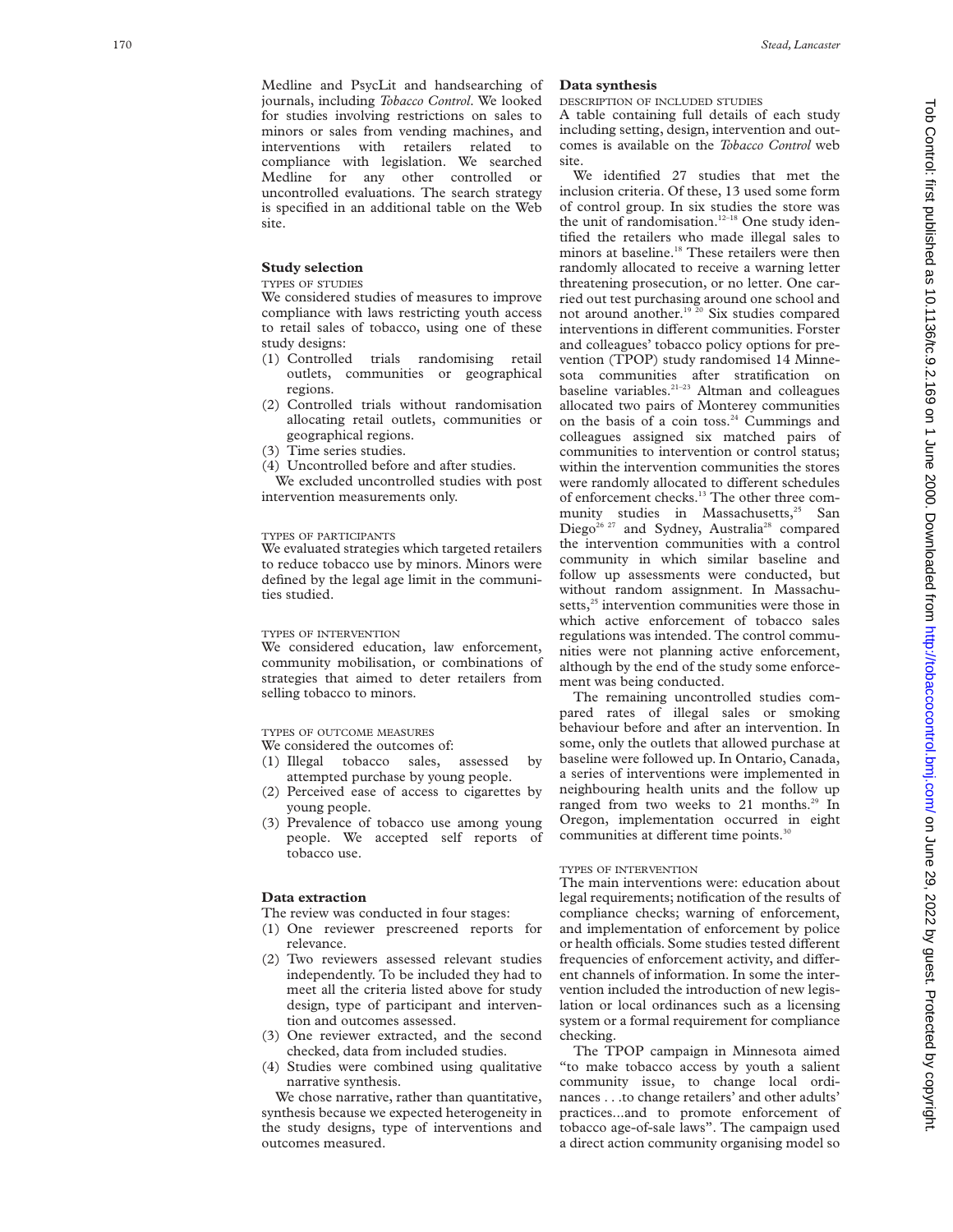Medline and PsycLit and handsearching of journals, including *Tobacco Control*. We looked for studies involving restrictions on sales to minors or sales from vending machines, and interventions with retailers related to compliance with legislation. We searched Medline for any other controlled or uncontrolled evaluations. The search strategy is specified in an additional table on the Web site.

# **Study selection**

#### TYPES OF STUDIES

We considered studies of measures to improve compliance with laws restricting youth access to retail sales of tobacco, using one of these study designs:

- (1) Controlled trials randomising retail outlets, communities or geographical regions.
- (2) Controlled trials without randomisation allocating retail outlets, communities or geographical regions.
- (3) Time series studies.
- (4) Uncontrolled before and after studies.

We excluded uncontrolled studies with post intervention measurements only.

# TYPES OF PARTICIPANTS

We evaluated strategies which targeted retailers to reduce tobacco use by minors. Minors were defined by the legal age limit in the communities studied.

# TYPES OF INTERVENTION

We considered education, law enforcement, community mobilisation, or combinations of strategies that aimed to deter retailers from selling tobacco to minors.

#### TYPES OF OUTCOME MEASURES

We considered the outcomes of:

- (1) Illegal tobacco sales, assessed by attempted purchase by young people.
- (2) Perceived ease of access to cigarettes by young people.
- (3) Prevalence of tobacco use among young people. We accepted self reports of tobacco use.

## **Data extraction**

The review was conducted in four stages:

- (1) One reviewer prescreened reports for relevance.
- (2) Two reviewers assessed relevant studies independently. To be included they had to meet all the criteria listed above for study design, type of participant and intervention and outcomes assessed.
- (3) One reviewer extracted, and the second checked, data from included studies.
- (4) Studies were combined using qualitative narrative synthesis.

We chose narrative, rather than quantitative, synthesis because we expected heterogeneity in the study designs, type of interventions and outcomes measured.

#### **Data synthesis**

DESCRIPTION OF INCLUDED STUDIES

A table containing full details of each study including setting, design, intervention and outcomes is available on the *Tobacco Control* web site.

We identified 27 studies that met the inclusion criteria. Of these, 13 used some form of control group. In six studies the store was the unit of randomisation.<sup>12-18</sup> One study identified the retailers who made illegal sales to minors at baseline.<sup>18</sup> These retailers were then randomly allocated to receive a warning letter threatening prosecution, or no letter. One carried out test purchasing around one school and not around another.<sup>19 20</sup> Six studies compared interventions in different communities. Forster and colleagues' tobacco policy options for prevention (TPOP) study randomised 14 Minnesota communities after stratification on baseline variables.<sup>21-23</sup> Altman and colleagues allocated two pairs of Monterey communities on the basis of a coin toss.<sup>24</sup> Cummings and colleagues assigned six matched pairs of communities to intervention or control status; within the intervention communities the stores were randomly allocated to different schedules of enforcement checks.13 The other three community studies in Massachusetts,<sup>25</sup> San Diego<sup>26 27</sup> and Sydney, Australia<sup>28</sup> compared the intervention communities with a control community in which similar baseline and follow up assessments were conducted, but without random assignment. In Massachusetts,<sup>25</sup> intervention communities were those in which active enforcement of tobacco sales regulations was intended. The control communities were not planning active enforcement, although by the end of the study some enforcement was being conducted.

The remaining uncontrolled studies compared rates of illegal sales or smoking behaviour before and after an intervention. In some, only the outlets that allowed purchase at baseline were followed up. In Ontario, Canada, a series of interventions were implemented in neighbouring health units and the follow up ranged from two weeks to 21 months.<sup>29</sup> In Oregon, implementation occurred in eight communities at different time points.<sup>30</sup>

# TYPES OF INTERVENTION

The main interventions were: education about legal requirements; notification of the results of compliance checks; warning of enforcement, and implementation of enforcement by police or health officials. Some studies tested different frequencies of enforcement activity, and different channels of information. In some the intervention included the introduction of new legislation or local ordinances such as a licensing system or a formal requirement for compliance checking.

The TPOP campaign in Minnesota aimed "to make tobacco access by youth a salient community issue, to change local ordinances . . .to change retailers' and other adults' practices...and to promote enforcement of tobacco age-of-sale laws". The campaign used a direct action community organising model so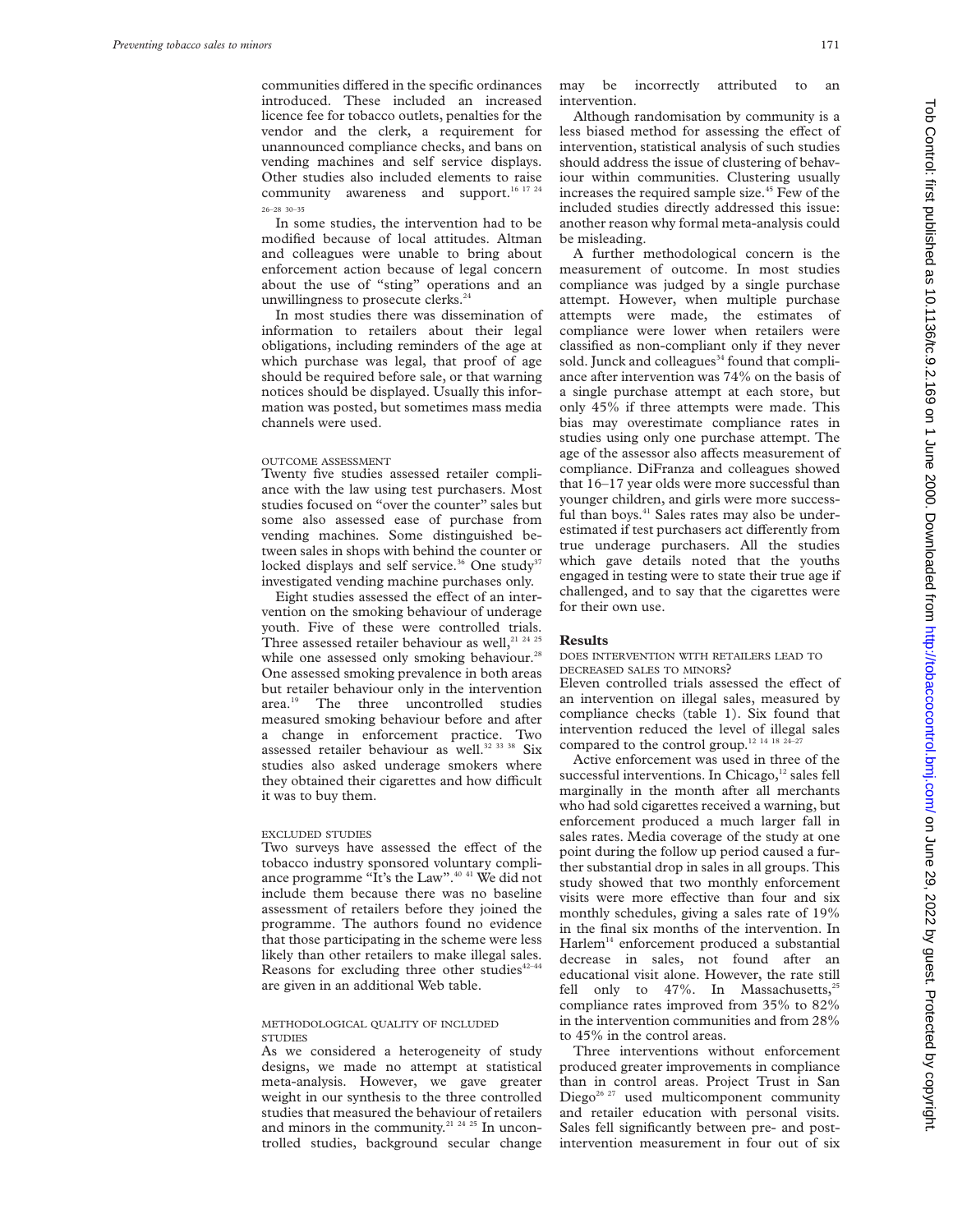communities differed in the specific ordinances introduced. These included an increased licence fee for tobacco outlets, penalties for the vendor and the clerk, a requirement for unannounced compliance checks, and bans on vending machines and self service displays. Other studies also included elements to raise community awareness and support.<sup>16 17 2</sup> 26–28 30–35

In some studies, the intervention had to be modified because of local attitudes. Altman and colleagues were unable to bring about enforcement action because of legal concern about the use of "sting" operations and an unwillingness to prosecute clerks.<sup>24</sup>

In most studies there was dissemination of information to retailers about their legal obligations, including reminders of the age at which purchase was legal, that proof of age should be required before sale, or that warning notices should be displayed. Usually this information was posted, but sometimes mass media channels were used.

# OUTCOME ASSESSMENT

Twenty five studies assessed retailer compliance with the law using test purchasers. Most studies focused on "over the counter" sales but some also assessed ease of purchase from vending machines. Some distinguished between sales in shops with behind the counter or locked displays and self service.<sup>36</sup> One study<sup>37</sup> investigated vending machine purchases only.

Eight studies assessed the effect of an intervention on the smoking behaviour of underage youth. Five of these were controlled trials. Three assessed retailer behaviour as well, $^{21}$   $^{24}$   $^{25}$ while one assessed only smoking behaviour.<sup>28</sup> One assessed smoking prevalence in both areas but retailer behaviour only in the intervention area.<sup>19</sup> The three uncontrolled studies measured smoking behaviour before and after a change in enforcement practice. Two assessed retailer behaviour as well.<sup>32 33</sup> 38 Six studies also asked underage smokers where they obtained their cigarettes and how difficult it was to buy them.

#### EXCLUDED STUDIES

Two surveys have assessed the effect of the tobacco industry sponsored voluntary compliance programme "It's the Law".40 41 We did not include them because there was no baseline assessment of retailers before they joined the programme. The authors found no evidence that those participating in the scheme were less likely than other retailers to make illegal sales. Reasons for excluding three other studies $42-44$ are given in an additional Web table.

## METHODOLOGICAL QUALITY OF INCLUDED **STUDIES**

As we considered a heterogeneity of study designs, we made no attempt at statistical meta-analysis. However, we gave greater weight in our synthesis to the three controlled studies that measured the behaviour of retailers and minors in the community.<sup>21 24 25</sup> In uncontrolled studies, background secular change

may be incorrectly attributed to an intervention.

Although randomisation by community is a less biased method for assessing the effect of intervention, statistical analysis of such studies should address the issue of clustering of behaviour within communities. Clustering usually increases the required sample size.<sup>45</sup> Few of the included studies directly addressed this issue: another reason why formal meta-analysis could be misleading.

A further methodological concern is the measurement of outcome. In most studies compliance was judged by a single purchase attempt. However, when multiple purchase attempts were made, the estimates of compliance were lower when retailers were classified as non-compliant only if they never sold. Junck and colleagues<sup>34</sup> found that compliance after intervention was 74% on the basis of a single purchase attempt at each store, but only 45% if three attempts were made. This bias may overestimate compliance rates in studies using only one purchase attempt. The age of the assessor also affects measurement of compliance. DiFranza and colleagues showed that 16–17 year olds were more successful than younger children, and girls were more successful than boys.<sup>41</sup> Sales rates may also be underestimated if test purchasers act differently from true underage purchasers. All the studies which gave details noted that the youths engaged in testing were to state their true age if challenged, and to say that the cigarettes were for their own use.

#### **Results**

DOES INTERVENTION WITH RETAILERS LEAD TO DECREASED SALES TO MINORS?

Eleven controlled trials assessed the effect of an intervention on illegal sales, measured by compliance checks (table 1). Six found that intervention reduced the level of illegal sales compared to the control group.<sup>12 14 18 24–27</sup>

Active enforcement was used in three of the successful interventions. In Chicago, $^{12}$  sales fell marginally in the month after all merchants who had sold cigarettes received a warning, but enforcement produced a much larger fall in sales rates. Media coverage of the study at one point during the follow up period caused a further substantial drop in sales in all groups. This study showed that two monthly enforcement visits were more effective than four and six monthly schedules, giving a sales rate of 19% in the final six months of the intervention. In Harlem<sup>14</sup> enforcement produced a substantial decrease in sales, not found after an educational visit alone. However, the rate still fell only to  $47\%$ . In Massachusetts,<sup>25</sup> compliance rates improved from 35% to 82% in the intervention communities and from 28% to 45% in the control areas.

Three interventions without enforcement produced greater improvements in compliance than in control areas. Project Trust in San Diego<sup>26, 27</sup> used multicomponent community and retailer education with personal visits. Sales fell significantly between pre- and postintervention measurement in four out of six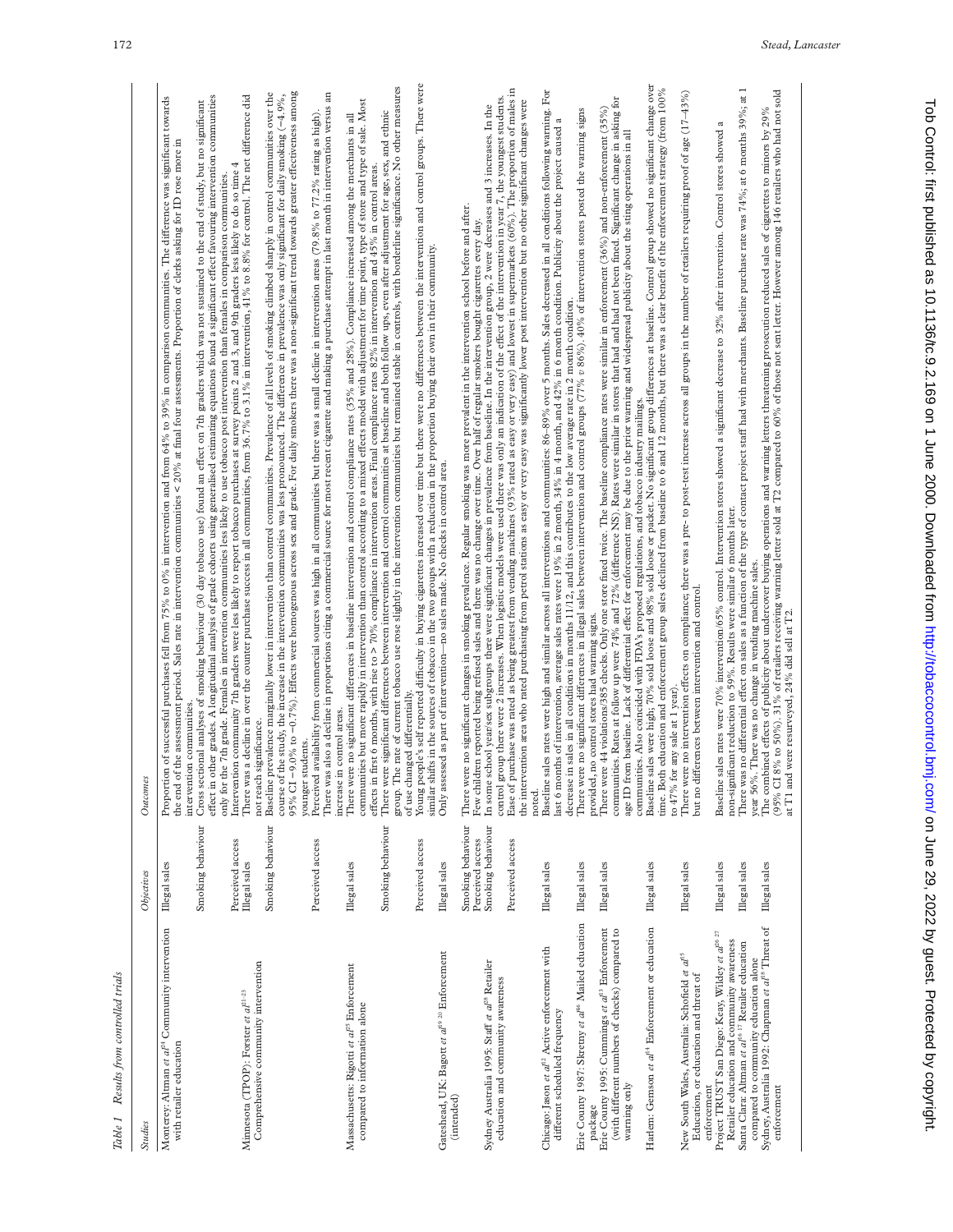| J<br>é. |
|---------|
| p<br>٠  |
|         |

| <b>Studies</b>                                                                                                                                                                            | Objectives                                                                     | Outcomes                                                                                                                                                                                                                                                                                                                                                                                                                                                                                                                                                                                                                                                                                                                                                                                                                                                                                                                              |
|-------------------------------------------------------------------------------------------------------------------------------------------------------------------------------------------|--------------------------------------------------------------------------------|---------------------------------------------------------------------------------------------------------------------------------------------------------------------------------------------------------------------------------------------------------------------------------------------------------------------------------------------------------------------------------------------------------------------------------------------------------------------------------------------------------------------------------------------------------------------------------------------------------------------------------------------------------------------------------------------------------------------------------------------------------------------------------------------------------------------------------------------------------------------------------------------------------------------------------------|
| Monterey: Altman et al <sup>24</sup> Community intervention<br>with retailer education                                                                                                    | Illegal sales                                                                  | Proportion of successful purchases fell from 75% to 0% in intervention and from 64% to 39% in comparison communities. The difference was significant towards<br>the end of the assessment period. Sales rate in intervention communities < 20% at final four assessments. Proportion of clerks asking for ID rose more in<br>intervention communities                                                                                                                                                                                                                                                                                                                                                                                                                                                                                                                                                                                 |
| Minnesota (TPOP): Forster et $a l^{21-23}$                                                                                                                                                | Smoking behaviour<br>Perceived access<br>Illegal sales                         | effect in other grades. A longitudinal analysis of grade cohorts using generalised estimating equations found a significant effect favouring intervention communities<br>There was a decline in over the counter purchase success in all communities, from 36.7% to 3.1% in intervention, 41% to 8.8% for control. The net difference did<br>Cross sectional analyses of smoking behaviour (30 day tobacco use) found an effect on 7th graders which was not sustained to the end of study, but no significant<br>Intervention community 7th graders were less likely to report tobacco purchases at survey points 2 and 3, and 9th graders less likely to do so time 4<br>only for the 7th grade. Females in intervention communities less likely to use tobacco post intervention than females in comparison communities.                                                                                                           |
| Comprehensive community intervention                                                                                                                                                      | Smoking behaviour                                                              | 95% CI -9.0% to -0.7%). Effects were homogenous across sex and grade. For daily smokers there was a non-significant trend towards greater effectiveness among<br>Baseline prevalence marginally lower in intervention than control communities. Prevalence of all levels of smoking climbed sharply in control communities over the<br>the study, the increase in the intervention communities was less pronounced. The difference in prevalence was only significant for daily smoking (-4.9%,<br>significance.<br>not reach<br>course of                                                                                                                                                                                                                                                                                                                                                                                            |
| Massachusetts: Rigotti et al <sup>25</sup> Enforcement<br>compared to information alone                                                                                                   | Perceived access<br>Illegal sales                                              | There was also a decline in proportions citing a commercial source for most recent cigarette and making a purchase attempt in last month in intervention versus an<br>communities but more rapidly in intervention than control according to a mixed effects model with adjustment for time point, type of store and type of sale. Most<br>availability from commercial sources was high in all communities but there was a small decline in intervention areas (79.8% to 77.2% rating as high).<br>There were no significant differences in baseline intervention and control compliance rates (35% and 28%). Compliance increased among the merchants in all<br>increase in control areas.<br>younger students.<br>Perceived                                                                                                                                                                                                        |
|                                                                                                                                                                                           | Smoking behaviour<br>Perceived access                                          | Young people's self reported difficulty in buying cigarettes increased over time but there were no differences between the intervention and control groups. There were<br>group. The rate of current tobacco use rose slightly in the intervention communities but remained stable in controls, with borderline significance. No other measures<br>There were significant differences between intervention and control communities at baseline and both follow ups, even after adjustment for age, sex, and ethnic<br>effects in first 6 months, with rise to > 70% compliance in intervention areas. Final compliance rates 82% in intervention and 45% in control areas.<br>of use changed differentially.                                                                                                                                                                                                                          |
| Gateshead, UK: Bagott et al <sup>19 20</sup> Enforcement<br>(intended)                                                                                                                    | Illegal sales                                                                  | similar shifts in the sources of tobacco in the two groups with a reduction in the proportion buying their own in their community.<br>Only assessed as part of intervention-no sales made. No checks in control area.                                                                                                                                                                                                                                                                                                                                                                                                                                                                                                                                                                                                                                                                                                                 |
| Sydney Australia 1995: Staff et al <sup>28</sup> Retailer<br>education and community awareness                                                                                            | Smoking behaviour<br>Smoking behaviour<br>Perceived access<br>Perceived access | Ease of purchase was rated as being greatest from vending machines (93% rated as easy or very easy) and lowest in supermarkets (60%). The proportion of males in<br>control group there were 2 increases. When logistic models were used there was only an indication of the effect of the intervention in year 7, the youngest students.<br>the intervention area who rated purchasing from petrol stations as easy or very easy was significantly lower post intervention but no other significant changes were<br>In some school year/sex subgroups there were significant changes in prevalence from baseline. In the intervention group, 2 were decreases and 3 increases. In the<br>There were no significant changes in smoking prevalence. Regular smoking was more prevalent in the intervention school before and after.<br>Few children reported being refused sales and there was no change over time. Over hal<br>noted. |
| Chicago: Jason et al <sup>12</sup> Active enforcement with<br>different scheduled frequency                                                                                               | Illegal sales                                                                  | Baseline sales rates were high and similar across all interventions and communities: 86-89% over 5 months. Sales decreased in all conditions following warning. For<br>last 6 months of intervention, average sales rates were 19% in 2 month, 34% in 4 month, and 42% in 6 month condition. Publicity about the project caused a<br>decrease in sales in all conditions in months 11/12, and this contributes to the low average rate in 2 month condition.                                                                                                                                                                                                                                                                                                                                                                                                                                                                          |
| Erie County 1987: Skretny et al <sup>46</sup> Mailed education<br>Erie County 1995: Cummings et al <sup>13</sup> Enforcement<br>(with different numbers of checks) compared to<br>package | Illegal sales<br>Illegal sales                                                 | communities. Rates at follow up were 74% and 72% (difference NS). Rates were similar in stores that had and had not been fined. Significant change in asking for<br>There were 44 violations/385 checks. Only one store fined twice. The baseline compliance rates were similar in enforcement (36%) and non-enforcement (35%)<br>There were no significant differences in illegal sales between intervention and control groups (77% v 86%). 40% of intervention stores posted the warning signs<br>, no control stores had warning signs.<br>provided.                                                                                                                                                                                                                                                                                                                                                                              |
| Harlem: Gemson et al <sup>14</sup> Enforcement or education<br>warning only                                                                                                               | Illegal sales                                                                  | Baseline sales were high; 70% sold loose and 98% sold loose or packet. No significant group differences at baseline. Control group showed no significant change over<br>time. Both education and enforcement group sales declined from baseline to 6 and 12 months, but there was a clear benefit of the enforcement strategy (from 100%<br>age ID from baseline. Lack of differential effect for enforcement may be due to the prior warning and widespread publicity about the sting operations in all<br>communities. Also coincided with FDA's proposed regulations, and tobacco industry mailings.                                                                                                                                                                                                                                                                                                                               |
| New South Wales, Australia: Schofield et al <sup>15</sup><br>Education, or education and threat of<br>enforcement                                                                         | Illegal sales                                                                  | There were no intervention effects on compliance; there was a pre- to post-test increase across all groups in the number of retailers requiring proof of age (17-43%)<br>but no differences between intervention and control.<br>to 47% for any sale at 1 year)                                                                                                                                                                                                                                                                                                                                                                                                                                                                                                                                                                                                                                                                       |
| Project TRUST San Diego: Keay, Wildey et al <sup>26 27</sup><br>Retailer education and community awareness                                                                                | Illegal sales                                                                  | a<br>sales rates were 70% intervention/65% control. Intervention stores showed a significant decrease to 32% after intervention. Control stores showed<br>non-significant reduction to 59%. Results were similar 6 months later.<br>Baseline                                                                                                                                                                                                                                                                                                                                                                                                                                                                                                                                                                                                                                                                                          |
| Sydney, Australia 1992: Chapman et al <sup>18</sup> Threat of<br>Santa Clara: Altman et al <sup>16 17</sup> Retailer education<br>compared to community education alone<br>enforcement    | Illegal sales<br>Illegal sales                                                 | There was no differential effect on sales as a function of the type of contact project staff had with merchants. Baseline purchase rate was 74%; at 6 months 39%; at 1<br>8% to 50%). 31% of retailers receiving warning letter sold at T2 compared to 60% of those not sent letter. However among 146 retailers who had not sold<br>The combined effects of publicity about undercover buying operations and warning letters threatening prosecution reduced sales of cigarettes to minors by 29% $\,$<br>year 56%. There was no change in vending machine sales.<br>(95% CI                                                                                                                                                                                                                                                                                                                                                         |
|                                                                                                                                                                                           |                                                                                | at T1 and were resurveyed, 24% did sell at T2.                                                                                                                                                                                                                                                                                                                                                                                                                                                                                                                                                                                                                                                                                                                                                                                                                                                                                        |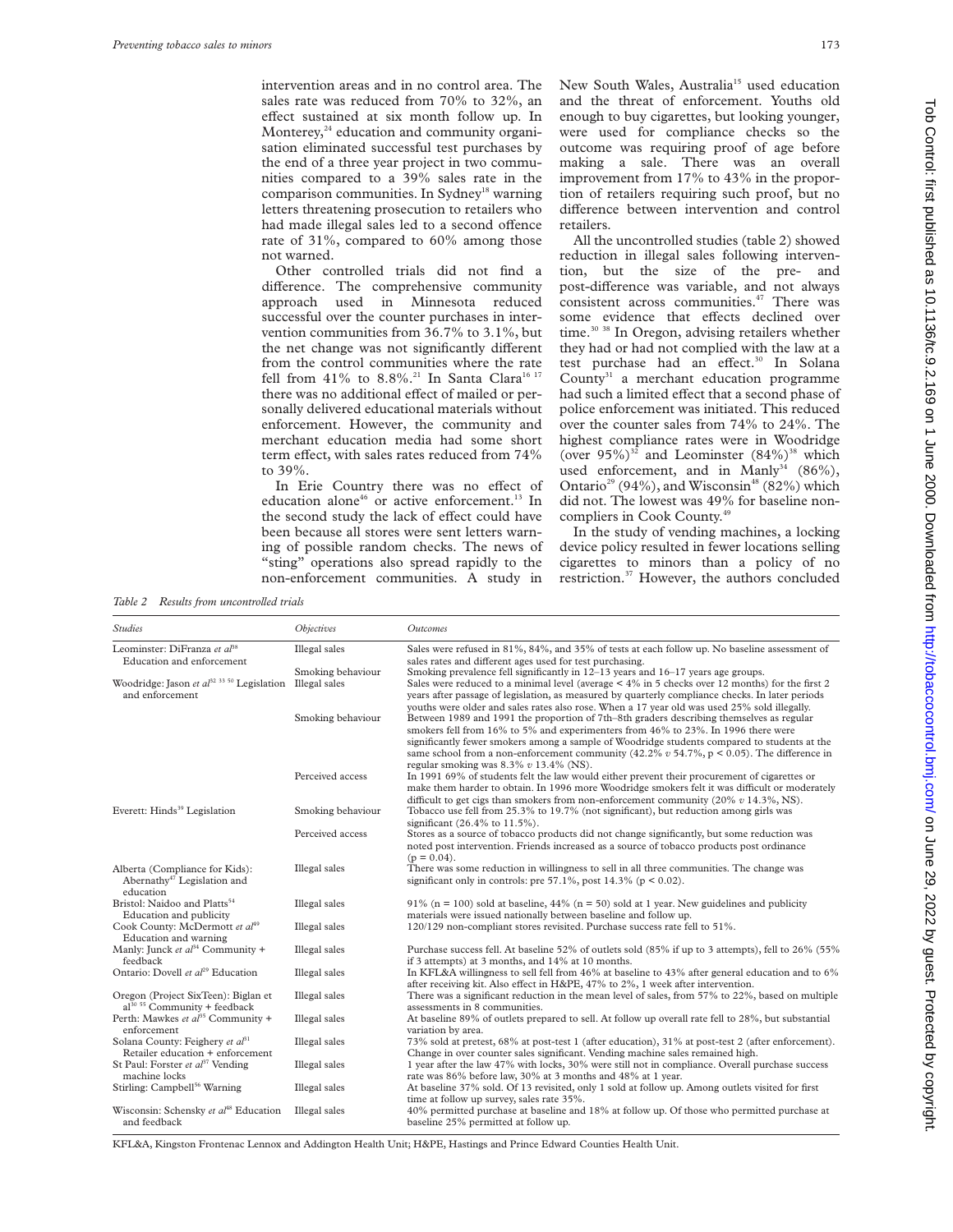intervention areas and in no control area. The sales rate was reduced from 70% to 32%, an effect sustained at six month follow up. In Monterey, $24$  education and community organisation eliminated successful test purchases by the end of a three year project in two communities compared to a 39% sales rate in the comparison communities. In Sydney<sup>18</sup> warning letters threatening prosecution to retailers who had made illegal sales led to a second offence rate of 31%, compared to 60% among those not warned.

Other controlled trials did not find a difference. The comprehensive community approach used in Minnesota reduced successful over the counter purchases in intervention communities from 36.7% to 3.1%, but the net change was not significantly different from the control communities where the rate fell from 41% to 8.8%.<sup>21</sup> In Santa Clara<sup>16 17</sup> there was no additional effect of mailed or personally delivered educational materials without enforcement. However, the community and merchant education media had some short term effect, with sales rates reduced from 74% to 39%.

In Erie Country there was no effect of education alone<sup>46</sup> or active enforcement.<sup>13</sup> In the second study the lack of effect could have been because all stores were sent letters warning of possible random checks. The news of "sting" operations also spread rapidly to the non-enforcement communities. A study in

New South Wales, Australia<sup>15</sup> used education and the threat of enforcement. Youths old enough to buy cigarettes, but looking younger, were used for compliance checks so the outcome was requiring proof of age before making a sale. There was an overall improvement from 17% to 43% in the proportion of retailers requiring such proof, but no difference between intervention and control retailers.

All the uncontrolled studies (table 2) showed reduction in illegal sales following intervention, but the size of the pre- and post-difference was variable, and not always consistent across communities.47 There was some evidence that effects declined over time.<sup>30</sup> <sup>38</sup> In Oregon, advising retailers whether they had or had not complied with the law at a test purchase had an effect.<sup>30</sup> In Solana County $31$  a merchant education programme had such a limited effect that a second phase of police enforcement was initiated. This reduced over the counter sales from 74% to 24%. The highest compliance rates were in Woodridge (over  $95\%$ )<sup>32</sup> and Leominster  $(84\%)$ <sup>38</sup> which used enforcement, and in Manly<sup>34</sup> (86%), Ontario<sup>29</sup> (94%), and Wisconsin<sup>48</sup> (82%) which did not. The lowest was 49% for baseline noncompliers in Cook County.49

In the study of vending machines, a locking device policy resulted in fewer locations selling cigarettes to minors than a policy of no restriction.37 However, the authors concluded

*Table 2 Results from uncontrolled trials*

*Studies Objectives Outcomes* Leominster: DiFranza et al<sup>38</sup> Education and enforcement Illegal sales Sales were refused in 81%, 84%, and 35% of tests at each follow up. No baseline assessment of sales rates and different ages used for test purchasing. Smoking behaviour Smoking prevalence fell significantly in 12–13 years and 16–17 years age groups.<br>Illegal sales Sales were reduced to a minimal level (average < 4% in 5 checks over 12 months Woodridge: Jason *et al*<sup>32 33 50</sup> Legislation and enforcement Sales were reduced to a minimal level (average  $<$  4% in 5 checks over 12 months) for the first 2 years after passage of legislation, as measured by quarterly compliance checks. In later periods youths were older and sales rates also rose. When a 17 year old was used 25% sold illegally. Smoking behaviour Between 1989 and 1991 the proportion of 7th–8th graders describing themselves as regular smokers fell from 16% to 5% and experimenters from 46% to 23%. In 1996 there were significantly fewer smokers among a sample of Woodridge students compared to students at the same school from a non-enforcement community (42.2%  $v$  54.7%, p < 0.05). The difference in regular smoking was 8.3% *v* 13.4% (NS). Perceived access In 1991 69% of students felt the law would either prevent their procurement of cigarettes or make them harder to obtain. In 1996 more Woodridge smokers felt it was difficult or moderately difficult to get cigs than smokers from non-enforcement community (20%  $v$  14.3%, NS). Everett: Hinds39 Legislation Smoking behaviour Tobacco use fell from 25.3% to 19.7% (not significant), but reduction among girls was significant (26.4% to 11.5%). Perceived access Stores as a source of tobacco products did not change significantly, but some reduction was noted post intervention. Friends increased as a source of tobacco products post ordinance  $(p = 0.04)$ . Alberta (Compliance for Kids): Abernathy<sup>47</sup> Legislation and education Illegal sales There was some reduction in willingness to sell in all three communities. The change was significant only in controls: pre 57.1%, post 14.3% (p < 0.02). Bristol: Naidoo and Platts<sup>54</sup> Education and publicity Illegal sales 91% (n = 100) sold at baseline,  $44%$  (n = 50) sold at 1 year. New guidelines and publicity materials were issued nationally between baseline and follow up. Cook County: McDermott et al<sup>49</sup> Education and warning Illegal sales 120/129 non-compliant stores revisited. Purchase success rate fell to 51%. Manly: Junck *et al*<sup>34</sup> Community + feedback<br>Ontario: Dovell et  $al^{29}$  Education Illegal sales Purchase success fell. At baseline 52% of outlets sold (85% if up to 3 attempts), fell to 26% (55% if 3 attempts) at 3 months, and 14% at 10 months. Illegal sales In KFL&A willingness to sell fell from 46% at baseline to 43% after general education and to 6% after receiving kit. Also effect in H&PE, 47% to 2%, 1 week after intervention. Oregon (Project SixTeen): Biglan et  $a^{30}$ <sup>55</sup> Community + feedback Illegal sales There was a significant reduction in the mean level of sales, from 57% to 22%, based on multiple assessments in 8 communities. Perth: Mawkes *et al*<sup>35</sup> Community + enforcement Illegal sales At baseline 89% of outlets prepared to sell. At follow up overall rate fell to 28%, but substantial variation by area. Solana County: Feighery et  $al^{31}$ Retailer education + enforcement<br>St Paul: Forster *et al*<sup>37</sup> Vending Illegal sales 73% sold at pretest, 68% at post-test 1 (after education), 31% at post-test 2 (after enforcement). Change in over counter sales significant. Vending machine sales remained high. Illegal sales 1 year after the law 47% with locks, 30% were still not in compliance. Overall purchase success machine locks<br>Stirling: Campbell<sup>56</sup> Warning rate was 86% before law, 30% at 3 months and 48% at 1 year. Illegal sales At baseline 37% sold. Of 13 revisited, only 1 sold at follow up. Among outlets visited for first time at follow up survey, sales rate 35%. Wisconsin: Schensky et al<sup>48</sup> Education and feedback Illegal sales 40% permitted purchase at baseline and 18% at follow up. Of those who permitted purchase at baseline 25% permitted at follow up.

KFL&A, Kingston Frontenac Lennox and Addington Health Unit; H&PE, Hastings and Prince Edward Counties Health Unit.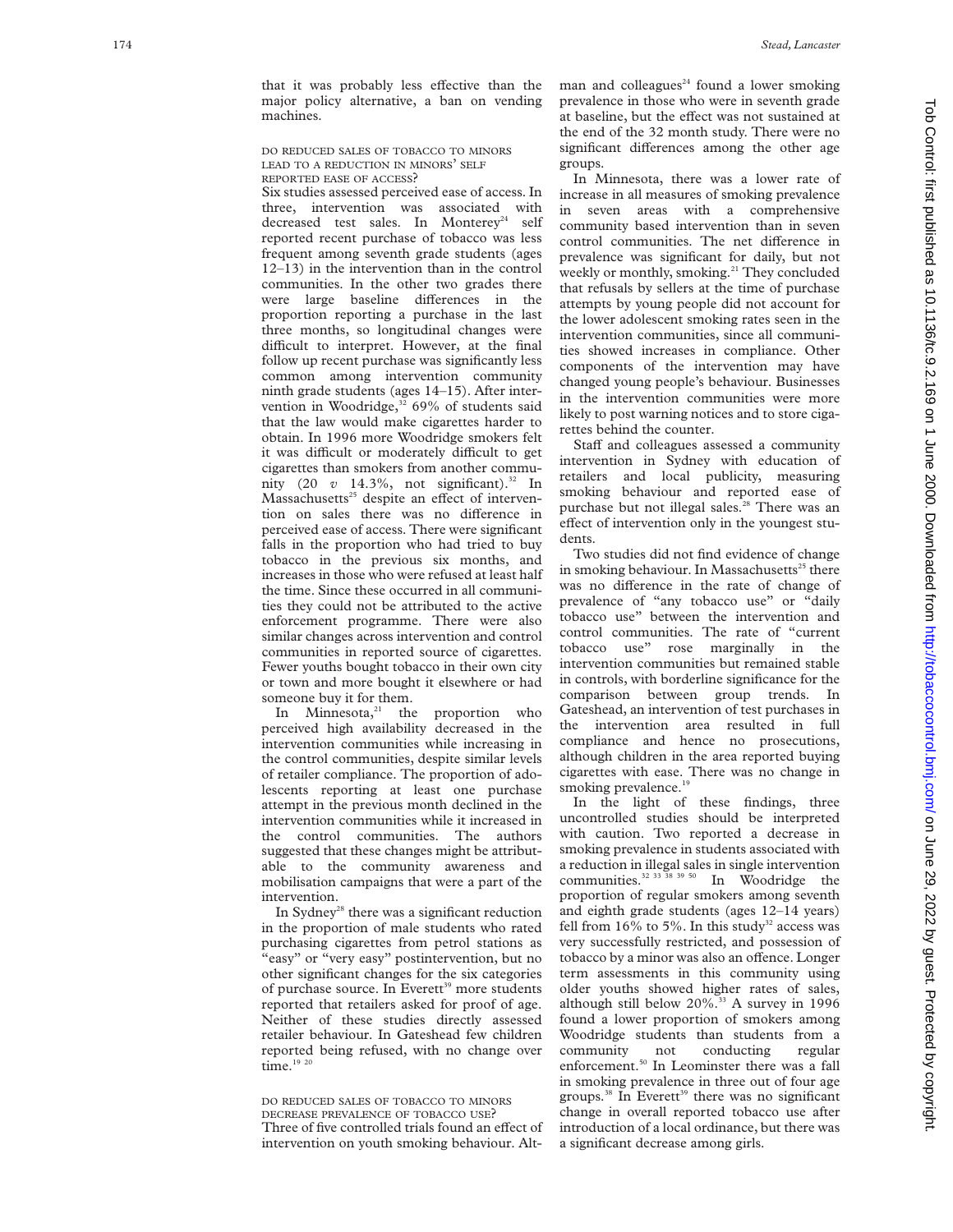that it was probably less effective than the major policy alternative, a ban on vending machines.

## DO REDUCED SALES OF TOBACCO TO MINORS LEAD TO A REDUCTION IN MINORS ' SELF REPORTED EASE OF ACCESS ?

Six studies assessed perceived ease of access. In three, intervention was associated with decreased test sales. In Monterey<sup>24</sup> self reported recent purchase of tobacco was less frequent among seventh grade students (ages 12–13) in the intervention than in the control communities. In the other two grades there were large baseline differences in the proportion reporting a purchase in the last three months, so longitudinal changes were difficult to interpret. However, at the final follow up recent purchase was significantly less common among intervention community ninth grade students (ages 14–15). After intervention in Woodridge, $32\,69\%$  of students said that the law would make cigarettes harder to obtain. In 1996 more Woodridge smokers felt it was difficult or moderately difficult to get cigarettes than smokers from another community (20  $v$  14.3%, not significant).<sup>32</sup> In Massachusetts<sup>25</sup> despite an effect of intervention on sales there was no difference in perceived ease of access. There were significant falls in the proportion who had tried to buy tobacco in the previous six months, and increases in those who were refused at least half the time. Since these occurred in all communities they could not be attributed to the active enforcement programme. There were also similar changes across intervention and control communities in reported source of cigarettes. Fewer youths bought tobacco in their own city or town and more bought it elsewhere or had someone buy it for them.

In Minnesota, $21$  the proportion who perceived high availability decreased in the intervention communities while increasing in the control communities, despite similar levels of retailer compliance. The proportion of adolescents reporting at least one purchase attempt in the previous month declined in the intervention communities while it increased in the control communities. The authors suggested that these changes might be attributable to the community awareness and mobilisation campaigns that were a part of the intervention.

In Sydney<sup>28</sup> there was a significant reduction in the proportion of male students who rated purchasing cigarettes from petrol stations as "easy" or "very easy" postintervention, but no other significant changes for the six categories of purchase source. In Everett<sup>39</sup> more students reported that retailers asked for proof of age. Neither of these studies directly assessed retailer behaviour. In Gateshead few children reported being refused, with no change over  $time^{19}$ <sup>20</sup>

DO REDUCED SALES OF TOBACCO TO MINORS DECREASE PREVALENCE OF TOBACCO USE? Three of five controlled trials found an effect of intervention on youth smoking behaviour. Altman and colleagues<sup>24</sup> found a lower smoking prevalence in those who were in seventh grade at baseline, but the effect was not sustained at the end of the 32 month study. There were no significant differences among the other age groups.

In Minnesota, there was a lower rate of increase in all measures of smoking prevalence in seven areas with a comprehensive community based intervention than in seven control communities. The net difference in prevalence was significant for daily, but not weekly or monthly, smoking.<sup>21</sup> They concluded that refusals by sellers at the time of purchase attempts by young people did not account for the lower adolescent smoking rates seen in the intervention communities, since all communities showed increases in compliance. Other components of the intervention may have changed young people's behaviour. Businesses in the intervention communities were more likely to post warning notices and to store cigarettes behind the counter.

Staff and colleagues assessed a community intervention in Sydney with education of retailers and local publicity, measuring smoking behaviour and reported ease of purchase but not illegal sales.<sup>28</sup> There was an effect of intervention only in the youngest students.

Two studies did not find evidence of change in smoking behaviour. In Massachusetts $^{25}$  there was no difference in the rate of change of prevalence of "any tobacco use" or "daily tobacco use" between the intervention and control communities. The rate of "current tobacco use" rose marginally in the intervention communities but remained stable in controls, with borderline significance for the comparison between group trends. In Gateshead, an intervention of test purchases in the intervention area resulted in full compliance and hence no prosecutions, although children in the area reported buying cigarettes with ease. There was no change in smoking prevalence.<sup>19</sup>

In the light of these findings, three uncontrolled studies should be interpreted with caution. Two reported a decrease in smoking prevalence in students associated with a reduction in illegal sales in single intervention communities.<sup>32</sup> <sup>33</sup> <sup>38</sup> <sup>39</sup> <sup>50</sup> In Woodridge the proportion of regular smokers among seventh and eighth grade students (ages 12–14 years) fell from  $16\%$  to 5%. In this study<sup>32</sup> access was very successfully restricted, and possession of tobacco by a minor was also an offence. Longer term assessments in this community using older youths showed higher rates of sales, although still below 20%.<sup>33</sup> A survey in 1996 found a lower proportion of smokers among Woodridge students than students from a community not conducting regular enforcement.<sup>50</sup> In Leominster there was a fall in smoking prevalence in three out of four age groups.<sup>38</sup> In Everett<sup>39</sup> there was no significant change in overall reported tobacco use after introduction of a local ordinance, but there was a significant decrease among girls.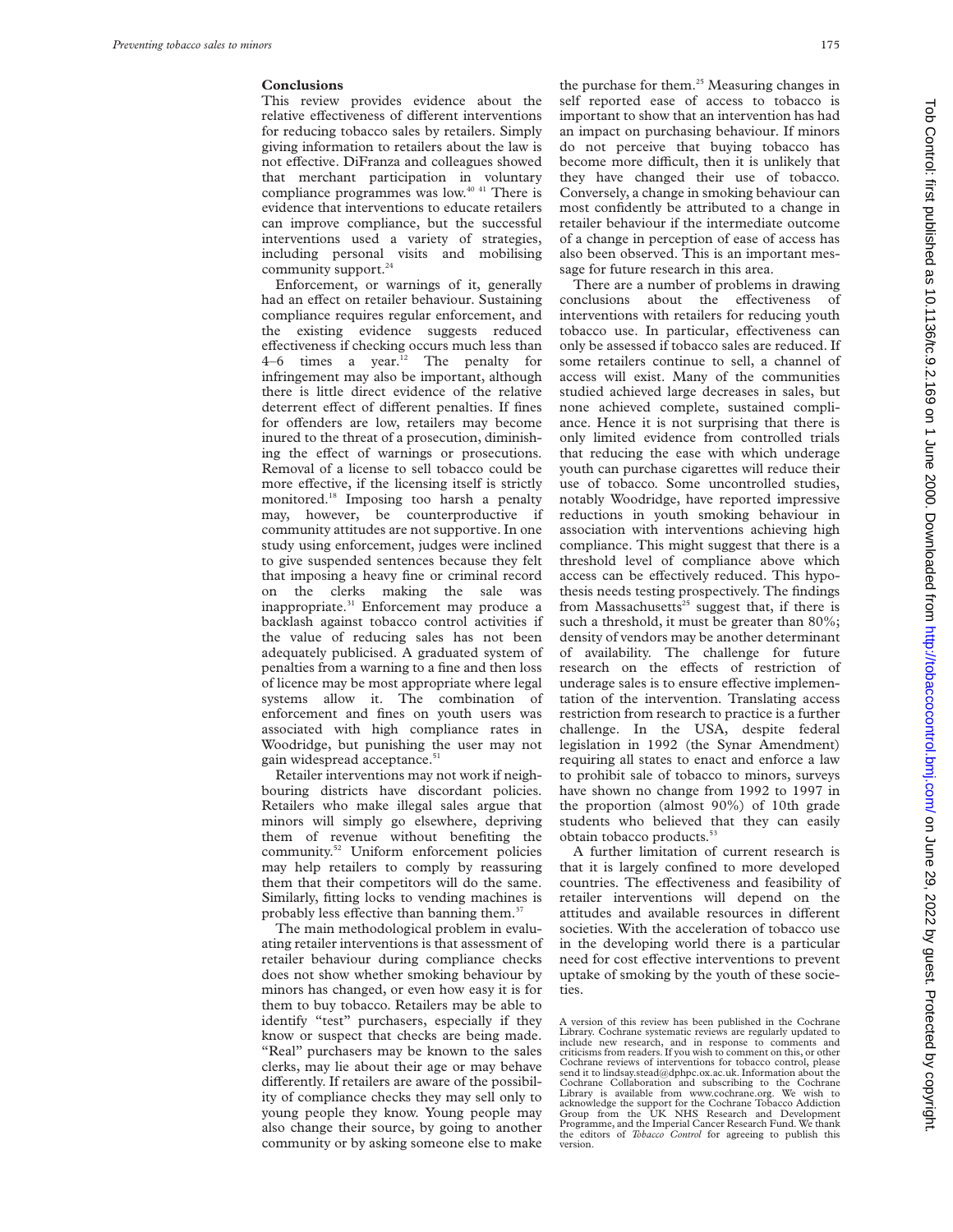## **Conclusions**

This review provides evidence about the relative effectiveness of different interventions for reducing tobacco sales by retailers. Simply giving information to retailers about the law is not effective. DiFranza and colleagues showed that merchant participation in voluntary compliance programmes was low.40 41 There is evidence that interventions to educate retailers can improve compliance, but the successful interventions used a variety of strategies, including personal visits and mobilising community support.<sup>24</sup>

Enforcement, or warnings of it, generally had an effect on retailer behaviour. Sustaining compliance requires regular enforcement, and the existing evidence suggests reduced effectiveness if checking occurs much less than 4–6 times a year.<sup>12</sup> The penalty for infringement may also be important, although there is little direct evidence of the relative deterrent effect of different penalties. If fines for offenders are low, retailers may become inured to the threat of a prosecution, diminishing the effect of warnings or prosecutions. Removal of a license to sell tobacco could be more effective, if the licensing itself is strictly monitored.<sup>18</sup> Imposing too harsh a penalty may, however, be counterproductive if community attitudes are not supportive. In one study using enforcement, judges were inclined to give suspended sentences because they felt that imposing a heavy fine or criminal record on the clerks making the sale was inappropriate.<sup>31</sup> Enforcement may produce a backlash against tobacco control activities if the value of reducing sales has not been adequately publicised. A graduated system of penalties from a warning to a fine and then loss of licence may be most appropriate where legal systems allow it. The combination of enforcement and fines on youth users was associated with high compliance rates in Woodridge, but punishing the user may not gain widespread acceptance.<sup>51</sup>

Retailer interventions may not work if neighbouring districts have discordant policies. Retailers who make illegal sales argue that minors will simply go elsewhere, depriving them of revenue without benefiting the community.<sup>52</sup> Uniform enforcement policies may help retailers to comply by reassuring them that their competitors will do the same. Similarly, fitting locks to vending machines is probably less effective than banning them.<sup>37</sup>

The main methodological problem in evaluating retailer interventions is that assessment of retailer behaviour during compliance checks does not show whether smoking behaviour by minors has changed, or even how easy it is for them to buy tobacco. Retailers may be able to identify "test" purchasers, especially if they know or suspect that checks are being made. "Real" purchasers may be known to the sales clerks, may lie about their age or may behave differently. If retailers are aware of the possibility of compliance checks they may sell only to young people they know. Young people may also change their source, by going to another community or by asking someone else to make

the purchase for them.<sup>25</sup> Measuring changes in self reported ease of access to tobacco is important to show that an intervention has had an impact on purchasing behaviour. If minors do not perceive that buying tobacco has become more difficult, then it is unlikely that they have changed their use of tobacco. Conversely, a change in smoking behaviour can most confidently be attributed to a change in retailer behaviour if the intermediate outcome of a change in perception of ease of access has also been observed. This is an important message for future research in this area.

There are a number of problems in drawing conclusions about the effectiveness of interventions with retailers for reducing youth tobacco use. In particular, effectiveness can only be assessed if tobacco sales are reduced. If some retailers continue to sell, a channel of access will exist. Many of the communities studied achieved large decreases in sales, but none achieved complete, sustained compliance. Hence it is not surprising that there is only limited evidence from controlled trials that reducing the ease with which underage youth can purchase cigarettes will reduce their use of tobacco. Some uncontrolled studies, notably Woodridge, have reported impressive reductions in youth smoking behaviour in association with interventions achieving high compliance. This might suggest that there is a threshold level of compliance above which access can be effectively reduced. This hypothesis needs testing prospectively. The findings from Massachusetts $25$  suggest that, if there is such a threshold, it must be greater than 80%; density of vendors may be another determinant of availability. The challenge for future research on the effects of restriction of underage sales is to ensure effective implementation of the intervention. Translating access restriction from research to practice is a further challenge. In the USA, despite federal legislation in 1992 (the Synar Amendment) requiring all states to enact and enforce a law to prohibit sale of tobacco to minors, surveys have shown no change from 1992 to 1997 in the proportion (almost 90%) of 10th grade students who believed that they can easily obtain tobacco products.<sup>53</sup>

A further limitation of current research is that it is largely confined to more developed countries. The effectiveness and feasibility of retailer interventions will depend on the attitudes and available resources in different societies. With the acceleration of tobacco use in the developing world there is a particular need for cost effective interventions to prevent uptake of smoking by the youth of these societies.

A version of this review has been published in the Cochrane Library. Cochrane systematic reviews are regularly updated to include new research, and in response to comments and criticisms from readers. If you wish to comment on this, or other Cochrane reviews of interventions for tobacco control, please send it to lindsay.stead@dphpc.ox.ac.uk. Information about the Cochrane Collaboration and subscribing to the Cochrane Library is available from www.cochrane.org. We wish to acknowledge the support for the Cochrane Tobacco Addiction Group from the UK NHS Research and Development Programme, and the Imperial Cancer Research Fund. We thank the editors of *Tobacco Control* for agreeing to publish this version.